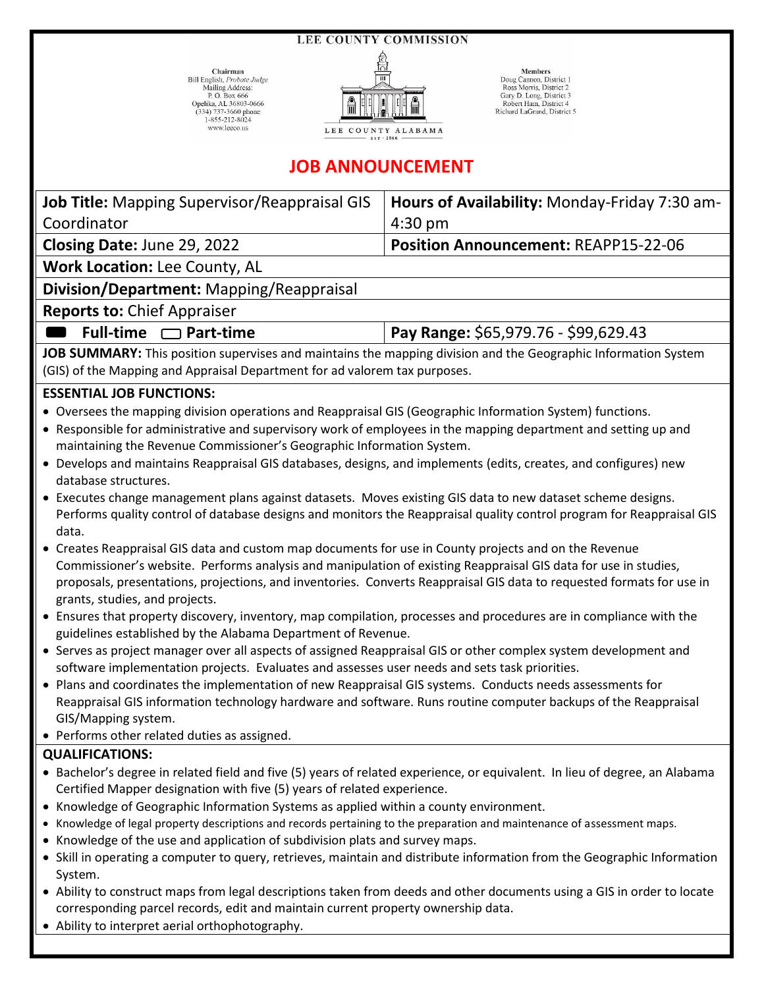**LEE COUNTY COMMISSION** 

 $\begin{tabular}{l} **Chairman \\ Bill English, *Probate* Judge \\ Mail, *Mail* S. Box 666 \\ Deplika, AL 36803-0666 \\ Opelika, AL 36803-0666 \\ (334) 737-3600 phone \\ 1-855-212-8024 \\ www.lececo.us \end{tabular}**$ 



**Members**<br>
Doug Cannon, District 1<br>
Ross Morris, District 2<br>
Gary D. Long, District 3<br>
Robert Ham, District 4<br>
Richard LaGrand, District 5

## **JOB ANNOUNCEMENT**

| <b>Job Title:</b> Mapping Supervisor/Reappraisal GIS<br>Coordinator                                                                                                                                                                                                                                                                                                                                                                                                                                       | Hours of Availability: Monday-Friday 7:30 am-<br>$4:30$ pm |
|-----------------------------------------------------------------------------------------------------------------------------------------------------------------------------------------------------------------------------------------------------------------------------------------------------------------------------------------------------------------------------------------------------------------------------------------------------------------------------------------------------------|------------------------------------------------------------|
| Closing Date: June 29, 2022                                                                                                                                                                                                                                                                                                                                                                                                                                                                               | Position Announcement: REAPP15-22-06                       |
| Work Location: Lee County, AL                                                                                                                                                                                                                                                                                                                                                                                                                                                                             |                                                            |
| Division/Department: Mapping/Reappraisal                                                                                                                                                                                                                                                                                                                                                                                                                                                                  |                                                            |
|                                                                                                                                                                                                                                                                                                                                                                                                                                                                                                           |                                                            |
| <b>Reports to: Chief Appraiser</b>                                                                                                                                                                                                                                                                                                                                                                                                                                                                        |                                                            |
| Full-time $\Box$ Part-time                                                                                                                                                                                                                                                                                                                                                                                                                                                                                | Pay Range: \$65,979.76 - \$99,629.43                       |
| JOB SUMMARY: This position supervises and maintains the mapping division and the Geographic Information System                                                                                                                                                                                                                                                                                                                                                                                            |                                                            |
| (GIS) of the Mapping and Appraisal Department for ad valorem tax purposes.                                                                                                                                                                                                                                                                                                                                                                                                                                |                                                            |
| <b>ESSENTIAL JOB FUNCTIONS:</b>                                                                                                                                                                                                                                                                                                                                                                                                                                                                           |                                                            |
| • Oversees the mapping division operations and Reappraisal GIS (Geographic Information System) functions.<br>• Responsible for administrative and supervisory work of employees in the mapping department and setting up and<br>maintaining the Revenue Commissioner's Geographic Information System.<br>• Develops and maintains Reappraisal GIS databases, designs, and implements (edits, creates, and configures) new<br>database structures.                                                         |                                                            |
| • Executes change management plans against datasets. Moves existing GIS data to new dataset scheme designs.<br>Performs quality control of database designs and monitors the Reappraisal quality control program for Reappraisal GIS<br>data.                                                                                                                                                                                                                                                             |                                                            |
| • Creates Reappraisal GIS data and custom map documents for use in County projects and on the Revenue<br>Commissioner's website. Performs analysis and manipulation of existing Reappraisal GIS data for use in studies,<br>proposals, presentations, projections, and inventories. Converts Reappraisal GIS data to requested formats for use in<br>grants, studies, and projects.<br>• Ensures that property discovery, inventory, map compilation, processes and procedures are in compliance with the |                                                            |
| guidelines established by the Alabama Department of Revenue.                                                                                                                                                                                                                                                                                                                                                                                                                                              |                                                            |
| • Serves as project manager over all aspects of assigned Reappraisal GIS or other complex system development and<br>software implementation projects. Evaluates and assesses user needs and sets task priorities.                                                                                                                                                                                                                                                                                         |                                                            |
| • Plans and coordinates the implementation of new Reappraisal GIS systems. Conducts needs assessments for<br>Reappraisal GIS information technology hardware and software. Runs routine computer backups of the Reappraisal<br>GIS/Mapping system.<br>• Performs other related duties as assigned.                                                                                                                                                                                                        |                                                            |
| <b>QUALIFICATIONS:</b>                                                                                                                                                                                                                                                                                                                                                                                                                                                                                    |                                                            |
| • Bachelor's degree in related field and five (5) years of related experience, or equivalent. In lieu of degree, an Alabama<br>Certified Mapper designation with five (5) years of related experience.                                                                                                                                                                                                                                                                                                    |                                                            |
| • Knowledge of Geographic Information Systems as applied within a county environment.                                                                                                                                                                                                                                                                                                                                                                                                                     |                                                            |
| Knowledge of legal property descriptions and records pertaining to the preparation and maintenance of assessment maps.<br>Knowledge of the use and application of subdivision plats and survey maps.                                                                                                                                                                                                                                                                                                      |                                                            |
| • Skill in operating a computer to query, retrieves, maintain and distribute information from the Geographic Information                                                                                                                                                                                                                                                                                                                                                                                  |                                                            |
| System.                                                                                                                                                                                                                                                                                                                                                                                                                                                                                                   |                                                            |
| • Ability to construct maps from legal descriptions taken from deeds and other documents using a GIS in order to locate<br>corresponding parcel records, edit and maintain current property ownership data.<br>• Ability to interpret aerial orthophotography.                                                                                                                                                                                                                                            |                                                            |